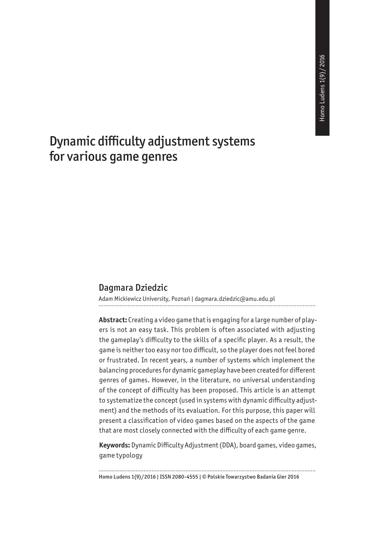# Dynamic difficulty adjustment systems for various game genres

#### Dagmara Dziedzic

Adam Mickiewicz University, Poznań | dagmara.dziedzic@amu.edu.pl

**Abstract:** Creating a video game that is engaging for a large number of players is not an easy task. This problem is often associated with adjusting the gameplay's difficulty to the skills of a specific player. As a result, the game is neither too easy nor too difficult, so the player does not feel bored or frustrated. In recent years, a number of systems which implement the balancing procedures for dynamic gameplay have been created for different genres of games. However, in the literature, no universal understanding of the concept of difficulty has been proposed. This article is an attempt to systematize the concept (used in systems with dynamic difficulty adjustment) and the methods of its evaluation. For this purpose, this paper will present a classification of video games based on the aspects of the game that are most closely connected with the difficulty of each game genre.

**Keywords:** Dynamic Difficulty Adjustment (DDA), board games, video games, game typology

Homo Ludens 1(9)/2016 | ISSN 2080-4555 | © Polskie Towarzystwo Badania Gier 2016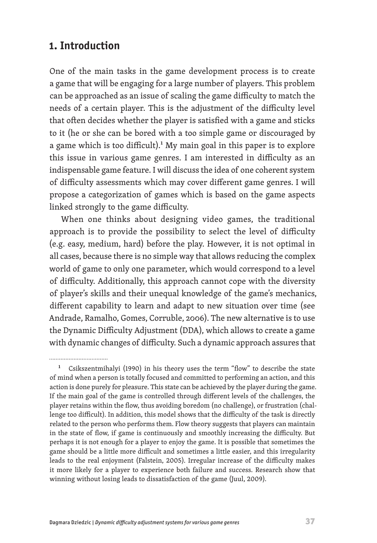# **1. Introduction**

One of the main tasks in the game development process is to create a game that will be engaging for a large number of players. This problem can be approached as an issue of scaling the game difficulty to match the needs of a certain player. This is the adjustment of the difficulty level that often decides whether the player is satisfied with a game and sticks to it (he or she can be bored with a too simple game or discouraged by a game which is too difficult).<sup>1</sup> My main goal in this paper is to explore this issue in various game genres. I am interested in difficulty as an indispensable game feature. I will discuss the idea of one coherent system of difficulty assessments which may cover different game genres. I will propose a categorization of games which is based on the game aspects linked strongly to the game difficulty.

When one thinks about designing video games, the traditional approach is to provide the possibility to select the level of difficulty (e.g. easy, medium, hard) before the play. However, it is not optimal in all cases, because there is no simple way that allows reducing the complex world of game to only one parameter, which would correspond to a level of difficulty. Additionally, this approach cannot cope with the diversity of player's skills and their unequal knowledge of the game's mechanics, different capability to learn and adapt to new situation over time (see Andrade, Ramalho, Gomes, Corruble, 2006). The new alternative is to use the Dynamic Difficulty Adjustment (DDA), which allows to create a game with dynamic changes of difficulty. Such a dynamic approach assures that

<sup>&</sup>lt;sup>1</sup> Csikszentmihalyi (1990) in his theory uses the term "flow" to describe the state of mind when a person is totally focused and committed to performing an action, and this action is done purely for pleasure. This state can be achieved by the player during the game. If the main goal of the game is controlled through different levels of the challenges, the player retains within the flow, thus avoiding boredom (no challenge), or frustration (challenge too difficult). In addition, this model shows that the difficulty of the task is directly related to the person who performs them. Flow theory suggests that players can maintain in the state of flow, if game is continuously and smoothly increasing the difficulty. But perhaps it is not enough for a player to enjoy the game. It is possible that sometimes the game should be a little more difficult and sometimes a little easier, and this irregularity leads to the real enjoyment (Falstein, 2005). Irregular increase of the difficulty makes it more likely for a player to experience both failure and success. Research show that winning without losing leads to dissatisfaction of the game (Juul, 2009).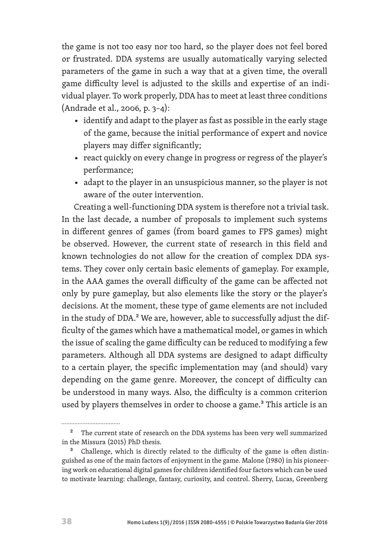the game is not too easy nor too hard, so the player does not feel bored or frustrated. DDA systems are usually automatically varying selected parameters of the game in such a way that at a given time, the overall game difficulty level is adjusted to the skills and expertise of an individual player. To work properly, DDA has to meet at least three conditions (Andrade et al., 2006, p. 3–4):

- identify and adapt to the player as fast as possible in the early stage of the game, because the initial performance of expert and novice players may differ significantly;
- react quickly on every change in progress or regress of the player's performance;
- adapt to the player in an unsuspicious manner, so the player is not aware of the outer intervention.

Creating a well-functioning DDA system is therefore not a trivial task. In the last decade, a number of proposals to implement such systems in different genres of games (from board games to FPS games) might be observed. However, the current state of research in this field and known technologies do not allow for the creation of complex DDA systems. They cover only certain basic elements of gameplay. For example, in the AAA games the overall difficulty of the game can be affected not only by pure gameplay, but also elements like the story or the player's decisions. At the moment, these type of game elements are not included in the study of DDA.<sup>2</sup> We are, however, able to successfully adjust the difficulty of the games which have a mathematical model, or games in which the issue of scaling the game difficulty can be reduced to modifying a few parameters. Although all DDA systems are designed to adapt difficulty to a certain player, the specific implementation may (and should) vary depending on the game genre. Moreover, the concept of difficulty can be understood in many ways. Also, the difficulty is a common criterion used by players themselves in order to choose a game.<sup>3</sup> This article is an

<sup>&</sup>lt;sup>2</sup> The current state of research on the DDA systems has been very well summarized in the Missura (2015) PhD thesis.

<sup>3</sup> Challenge, which is directly related to the difficulty of the game is often distinguished as one of the main factors of enjoyment in the game. Malone (1980) in his pioneering work on educational digital games for children identified four factors which can be used to motivate learning: challenge, fantasy, curiosity, and control. Sherry, Lucas, Greenberg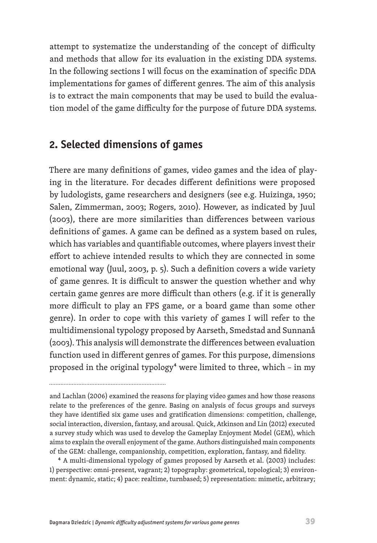attempt to systematize the understanding of the concept of difficulty and methods that allow for its evaluation in the existing DDA systems. In the following sections I will focus on the examination of specific DDA implementations for games of different genres. The aim of this analysis is to extract the main components that may be used to build the evaluation model of the game difficulty for the purpose of future DDA systems.

### **2. Selected dimensions of games**

There are many definitions of games, video games and the idea of playing in the literature. For decades different definitions were proposed by ludologists, game researchers and designers (see e.g. Huizinga, 1950; Salen, Zimmerman, 2003; Rogers, 2010). However, as indicated by Juul (2003), there are more similarities than differences between various definitions of games. A game can be defined as a system based on rules, which has variables and quantifiable outcomes, where players invest their effort to achieve intended results to which they are connected in some emotional way (Juul, 2003, p. 5). Such a definition covers a wide variety of game genres. It is difficult to answer the question whether and why certain game genres are more difficult than others (e.g. if it is generally more difficult to play an FPS game, or a board game than some other genre). In order to cope with this variety of games I will refer to the multidimensional typology proposed by Aarseth, Smedstad and Sunnanå (2003). This analysis will demonstrate the differences between evaluation function used in different genres of games. For this purpose, dimensions proposed in the original typology<sup>4</sup> were limited to three, which - in my

4 A multi-dimensional typology of games proposed by Aarseth et al. (2003) includes: 1) perspective: omni-present, vagrant; 2) topography: geometrical, topological; 3) environment: dynamic, static; 4) pace: realtime, turnbased; 5) representation: mimetic, arbitrary;

and Lachlan (2006) examined the reasons for playing video games and how those reasons relate to the preferences of the genre. Basing on analysis of focus groups and surveys they have identified six game uses and gratification dimensions: competition, challenge, social interaction, diversion, fantasy, and arousal. Quick, Atkinson and Lin (2012) executed a survey study which was used to develop the Gameplay Enjoyment Model (GEM), which aims to explain the overall enjoyment of the game. Authors distinguished main components of the GEM: challenge, companionship, competition, exploration, fantasy, and fidelity.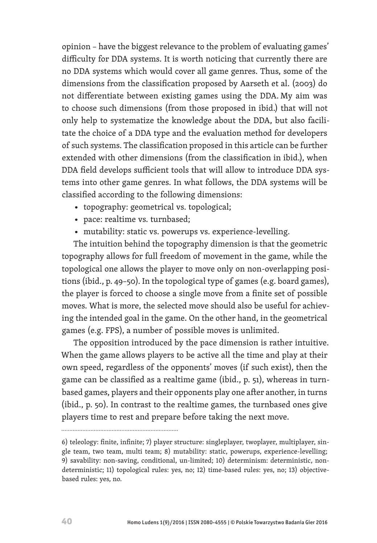opinion – have the biggest relevance to the problem of evaluating games' difficulty for DDA systems. It is worth noticing that currently there are no DDA systems which would cover all game genres. Thus, some of the dimensions from the classification proposed by Aarseth et al. (2003) do not differentiate between existing games using the DDA. My aim was to choose such dimensions (from those proposed in ibid.) that will not only help to systematize the knowledge about the DDA, but also facilitate the choice of a DDA type and the evaluation method for developers of such systems. The classification proposed in this article can be further extended with other dimensions (from the classification in ibid.), when DDA field develops sufficient tools that will allow to introduce DDA systems into other game genres. In what follows, the DDA systems will be classified according to the following dimensions:

- topography: geometrical vs. topological;
- pace: realtime vs. turnbased;
- mutability: static vs. powerups vs. experience-levelling.

The intuition behind the topography dimension is that the geometric topography allows for full freedom of movement in the game, while the topological one allows the player to move only on non-overlapping positions (ibid., p. 49–50). In the topological type of games (e.g. board games), the player is forced to choose a single move from a finite set of possible moves. What is more, the selected move should also be useful for achieving the intended goal in the game. On the other hand, in the geometrical games (e.g. FPS), a number of possible moves is unlimited.

The opposition introduced by the pace dimension is rather intuitive. When the game allows players to be active all the time and play at their own speed, regardless of the opponents' moves (if such exist), then the game can be classified as a realtime game (ibid., p. 51), whereas in turnbased games, players and their opponents play one after another, in turns (ibid., p. 50). In contrast to the realtime games, the turnbased ones give players time to rest and prepare before taking the next move.

<sup>6)</sup> teleology: finite, infinite; 7) player structure: singleplayer, twoplayer, multiplayer, single team, two team, multi team; 8) mutability: static, powerups, experience-levelling; 9) savability: non-saving, conditional, un-limited; 10) determinism: deterministic, nondeterministic; 11) topological rules: yes, no; 12) time-based rules: yes, no; 13) objectivebased rules: yes, no.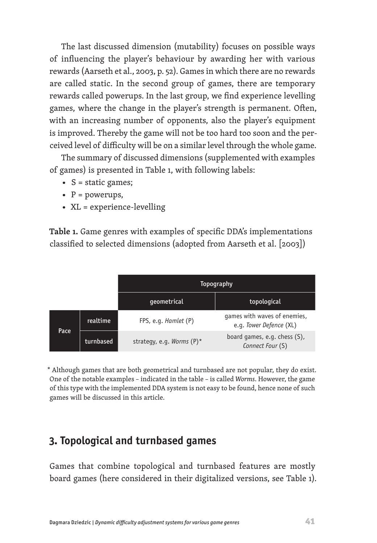The last discussed dimension (mutability) focuses on possible ways of influencing the player's behaviour by awarding her with various rewards (Aarseth et al., 2003, p. 52). Games in which there are no rewards are called static. In the second group of games, there are temporary rewards called powerups. In the last group, we find experience levelling games, where the change in the player's strength is permanent. Often, with an increasing number of opponents, also the player's equipment is improved. Thereby the game will not be too hard too soon and the perceived level of difficulty will be on a similar level through the whole game.

The summary of discussed dimensions (supplemented with examples of games) is presented in Table 1, with following labels:

- S = static games;
- $P = powerups$ ,
- XL = experience-levelling

**Table 1.** Game genres with examples of specific DDA's implementations classified to selected dimensions (adopted from Aarseth et al. [2003])

|      |           | Topography                |                                                         |
|------|-----------|---------------------------|---------------------------------------------------------|
|      |           | qeometrical               | topological                                             |
| Pace | realtime  | FPS, e.g. Hamlet (P)      | games with waves of enemies,<br>e.g. Tower Defence (XL) |
|      | turnbased | strategy, e.g. Worms (P)* | board games, e.g. chess (S),<br>Connect Four (S)        |

\* Although games that are both geometrical and turnbased are not popular, they do exist. One of the notable examples – indicated in the table – is called *Worms*. However, the game of this type with the implemented DDA system is not easy to be found, hence none of such games will be discussed in this article.

# **3. Topological and turnbased games**

Games that combine topological and turnbased features are mostly board games (here considered in their digitalized versions, see Table 1).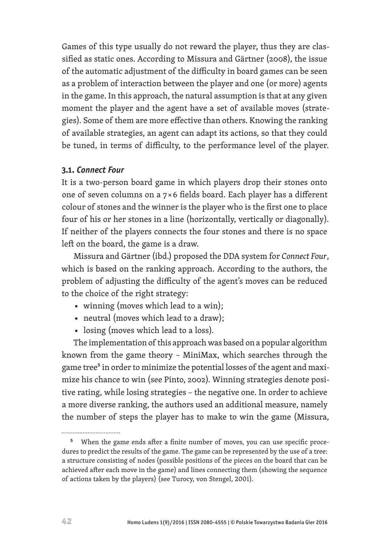Games of this type usually do not reward the player, thus they are classified as static ones. According to Missura and Gärtner (2008), the issue of the automatic adjustment of the difficulty in board games can be seen as a problem of interaction between the player and one (or more) agents in the game. In this approach, the natural assumption is that at any given moment the player and the agent have a set of available moves (strategies). Some of them are more effective than others. Knowing the ranking of available strategies, an agent can adapt its actions, so that they could be tuned, in terms of difficulty, to the performance level of the player.

#### **3.1.** *Connect Four*

It is a two-person board game in which players drop their stones onto one of seven columns on a 7 × 6 fields board. Each player has a different colour of stones and the winner is the player who is the first one to place four of his or her stones in a line (horizontally, vertically or diagonally). If neither of the players connects the four stones and there is no space left on the board, the game is a draw.

Missura and Gärtner (ibd.) proposed the DDA system for *Connect Four*, which is based on the ranking approach. According to the authors, the problem of adjusting the difficulty of the agent's moves can be reduced to the choice of the right strategy:

- winning (moves which lead to a win);
- neutral (moves which lead to a draw);
- losing (moves which lead to a loss).

The implementation of this approach was based on a popular algorithm known from the game theory – MiniMax, which searches through the game tree<sup>5</sup> in order to minimize the potential losses of the agent and maximize his chance to win (see Pinto, 2002). Winning strategies denote positive rating, while losing strategies – the negative one. In order to achieve a more diverse ranking, the authors used an additional measure, namely the number of steps the player has to make to win the game (Missura,

................................

<sup>&</sup>lt;sup>5</sup> When the game ends after a finite number of moves, you can use specific procedures to predict the results of the game. The game can be represented by the use of a tree: a structure consisting of nodes (possible positions of the pieces on the board that can be achieved after each move in the game) and lines connecting them (showing the sequence of actions taken by the players) (see Turocy, von Stengel, 2001).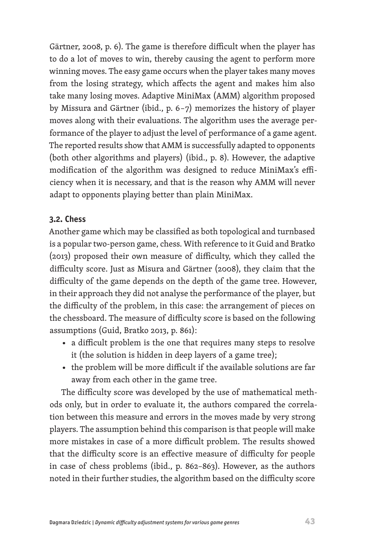Gärtner, 2008, p. 6). The game is therefore difficult when the player has to do a lot of moves to win, thereby causing the agent to perform more winning moves. The easy game occurs when the player takes many moves from the losing strategy, which affects the agent and makes him also take many losing moves. Adaptive MiniMax (AMM) algorithm proposed by Missura and Gärtner (ibid., p. 6 – 7) memorizes the history of player moves along with their evaluations. The algorithm uses the average performance of the player to adjust the level of performance of a game agent. The reported results show that AMM is successfully adapted to opponents (both other algorithms and players) (ibid., p. 8). However, the adaptive modification of the algorithm was designed to reduce MiniMax's efficiency when it is necessary, and that is the reason why AMM will never adapt to opponents playing better than plain MiniMax.

#### **3.2. Chess**

Another game which may be classified as both topological and turnbased is a popular two-person game, chess. With reference to it Guid and Bratko (2013) proposed their own measure of difficulty, which they called the difficulty score. Just as Misura and Gärtner (2008), they claim that the difficulty of the game depends on the depth of the game tree. However, in their approach they did not analyse the performance of the player, but the difficulty of the problem, in this case: the arrangement of pieces on the chessboard. The measure of difficulty score is based on the following assumptions (Guid, Bratko 2013, p. 861):

- a difficult problem is the one that requires many steps to resolve it (the solution is hidden in deep layers of a game tree);
- the problem will be more difficult if the available solutions are far away from each other in the game tree.

The difficulty score was developed by the use of mathematical methods only, but in order to evaluate it, the authors compared the correlation between this measure and errors in the moves made by very strong players. The assumption behind this comparison is that people will make more mistakes in case of a more difficult problem. The results showed that the difficulty score is an effective measure of difficulty for people in case of chess problems (ibid., p. 862–863). However, as the authors noted in their further studies, the algorithm based on the difficulty score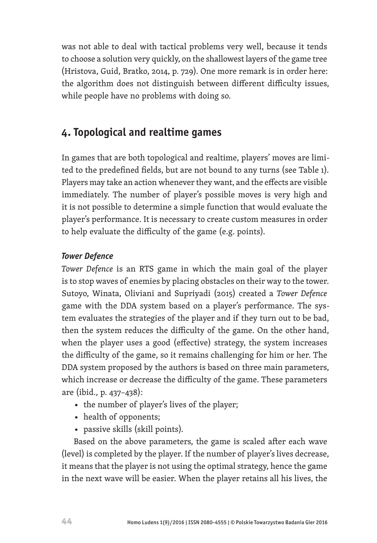was not able to deal with tactical problems very well, because it tends to choose a solution very quickly, on the shallowest layers of the game tree (Hristova, Guid, Bratko, 2014, p. 729). One more remark is in order here: the algorithm does not distinguish between different difficulty issues, while people have no problems with doing so.

# **4. Topological and realtime games**

In games that are both topological and realtime, players' moves are limited to the predefined fields, but are not bound to any turns (see Table 1). Players may take an action whenever they want, and the effects are visible immediately. The number of player's possible moves is very high and it is not possible to determine a simple function that would evaluate the player's performance. It is necessary to create custom measures in order to help evaluate the difficulty of the game (e.g. points).

#### *Tower Defence*

*Tower Defence* is an RTS game in which the main goal of the player is to stop waves of enemies by placing obstacles on their way to the tower. Sutoyo, Winata, Oliviani and Supriyadi (2015) created a *Tower Defence* game with the DDA system based on a player's performance. The system evaluates the strategies of the player and if they turn out to be bad, then the system reduces the difficulty of the game. On the other hand, when the player uses a good (effective) strategy, the system increases the difficulty of the game, so it remains challenging for him or her. The DDA system proposed by the authors is based on three main parameters, which increase or decrease the difficulty of the game. These parameters are (ibid., p. 437–438):

- the number of player's lives of the player;
- health of opponents;
- passive skills (skill points).

Based on the above parameters, the game is scaled after each wave (level) is completed by the player. If the number of player's lives decrease, it means that the player is not using the optimal strategy, hence the game in the next wave will be easier. When the player retains all his lives, the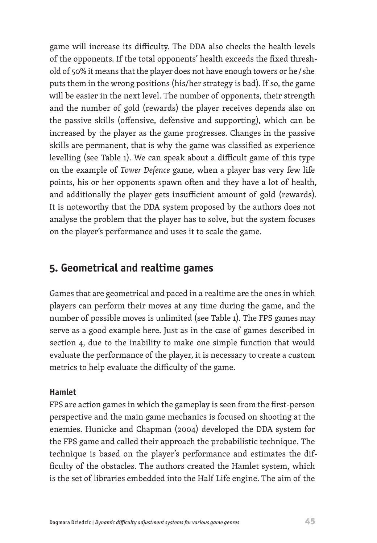game will increase its difficulty. The DDA also checks the health levels of the opponents. If the total opponents' health exceeds the fixed threshold of 50% it means that the player does not have enough towers or he / she puts them in the wrong positions (his/her strategy is bad). If so, the game will be easier in the next level. The number of opponents, their strength and the number of gold (rewards) the player receives depends also on the passive skills (offensive, defensive and supporting), which can be increased by the player as the game progresses. Changes in the passive skills are permanent, that is why the game was classified as experience levelling (see Table 1). We can speak about a difficult game of this type on the example of *Tower Defence* game, when a player has very few life points, his or her opponents spawn often and they have a lot of health, and additionally the player gets insufficient amount of gold (rewards). It is noteworthy that the DDA system proposed by the authors does not analyse the problem that the player has to solve, but the system focuses on the player's performance and uses it to scale the game.

### **5. Geometrical and realtime games**

Games that are geometrical and paced in a realtime are the ones in which players can perform their moves at any time during the game, and the number of possible moves is unlimited (see Table 1). The FPS games may serve as a good example here. Just as in the case of games described in section 4, due to the inability to make one simple function that would evaluate the performance of the player, it is necessary to create a custom metrics to help evaluate the difficulty of the game.

#### **Hamlet**

FPS are action games in which the gameplay is seen from the first-person perspective and the main game mechanics is focused on shooting at the enemies. Hunicke and Chapman (2004) developed the DDA system for the FPS game and called their approach the probabilistic technique. The technique is based on the player's performance and estimates the difficulty of the obstacles. The authors created the Hamlet system, which is the set of libraries embedded into the Half Life engine. The aim of the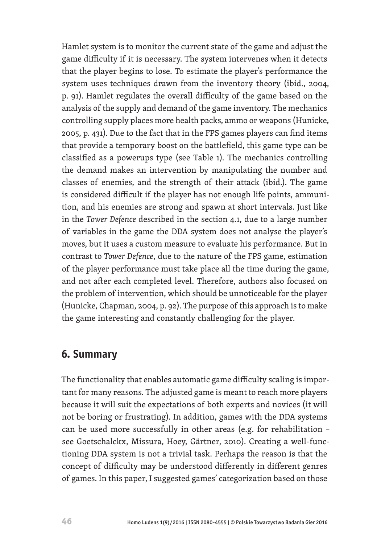Hamlet system is to monitor the current state of the game and adjust the game difficulty if it is necessary. The system intervenes when it detects that the player begins to lose. To estimate the player's performance the system uses techniques drawn from the inventory theory (ibid., 2004, p. 91). Hamlet regulates the overall difficulty of the game based on the analysis of the supply and demand of the game inventory. The mechanics controlling supply places more health packs, ammo or weapons (Hunicke, 2005, p. 431). Due to the fact that in the FPS games players can find items that provide a temporary boost on the battlefield, this game type can be classified as a powerups type (see Table 1). The mechanics controlling the demand makes an intervention by manipulating the number and classes of enemies, and the strength of their attack (ibid.). The game is considered difficult if the player has not enough life points, ammunition, and his enemies are strong and spawn at short intervals. Just like in the *Tower Defence* described in the section 4.1, due to a large number of variables in the game the DDA system does not analyse the player's moves, but it uses a custom measure to evaluate his performance. But in contrast to *Tower Defence*, due to the nature of the FPS game, estimation of the player performance must take place all the time during the game, and not after each completed level. Therefore, authors also focused on the problem of intervention, which should be unnoticeable for the player (Hunicke, Chapman, 2004, p. 92). The purpose of this approach is to make the game interesting and constantly challenging for the player.

### **6. Summary**

The functionality that enables automatic game difficulty scaling is important for many reasons. The adjusted game is meant to reach more players because it will suit the expectations of both experts and novices (it will not be boring or frustrating). In addition, games with the DDA systems can be used more successfully in other areas (e.g. for rehabilitation – see Goetschalckx, Missura, Hoey, Gärtner, 2010). Creating a well-functioning DDA system is not a trivial task. Perhaps the reason is that the concept of difficulty may be understood differently in different genres of games. In this paper, I suggested games' categorization based on those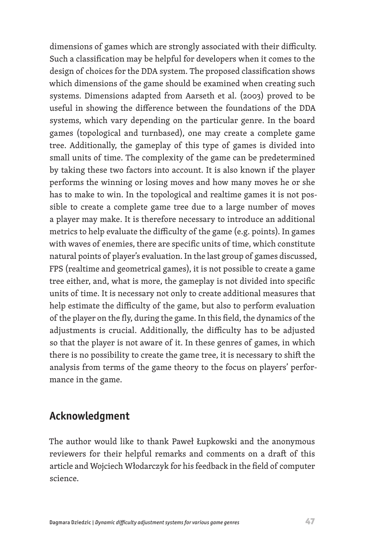dimensions of games which are strongly associated with their difficulty. Such a classification may be helpful for developers when it comes to the design of choices for the DDA system. The proposed classification shows which dimensions of the game should be examined when creating such systems. Dimensions adapted from Aarseth et al. (2003) proved to be useful in showing the difference between the foundations of the DDA systems, which vary depending on the particular genre. In the board games (topological and turnbased), one may create a complete game tree. Additionally, the gameplay of this type of games is divided into small units of time. The complexity of the game can be predetermined by taking these two factors into account. It is also known if the player performs the winning or losing moves and how many moves he or she has to make to win. In the topological and realtime games it is not possible to create a complete game tree due to a large number of moves a player may make. It is therefore necessary to introduce an additional metrics to help evaluate the difficulty of the game (e.g. points). In games with waves of enemies, there are specific units of time, which constitute natural points of player's evaluation. In the last group of games discussed, FPS (realtime and geometrical games), it is not possible to create a game tree either, and, what is more, the gameplay is not divided into specific units of time. It is necessary not only to create additional measures that help estimate the difficulty of the game, but also to perform evaluation of the player on the fly, during the game. In this field, the dynamics of the adjustments is crucial. Additionally, the difficulty has to be adjusted so that the player is not aware of it. In these genres of games, in which there is no possibility to create the game tree, it is necessary to shift the analysis from terms of the game theory to the focus on players' performance in the game.

### **Acknowledgment**

The author would like to thank Paweł Łupkowski and the anonymous reviewers for their helpful remarks and comments on a draft of this article and Wojciech Włodarczyk for his feedback in the field of computer science.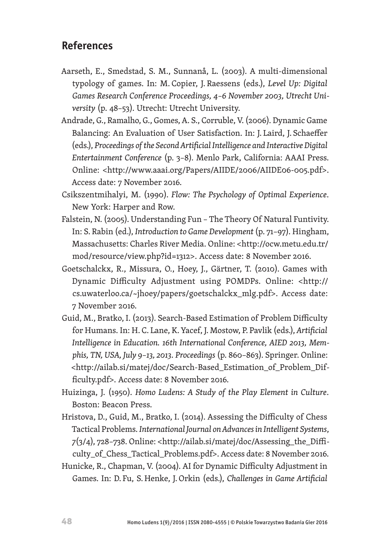# **References**

- Aarseth, E., Smedstad, S. M., Sunnanå, L. (2003). A multi-dimensional typology of games. In: M. Copier, J. Raessens (eds.), *Level Up: Digital Games Research Conference Proceedings, 4–6 November 2003, Utrecht University* (p. 48–53). Utrecht: Utrecht University.
- Andrade, G., Ramalho, G., Gomes, A. S., Corruble, V. (2006). Dynamic Game Balancing: An Evaluation of User Satisfaction. In: J. Laird, J. Schaeffer (eds.), *Proceedings of the Second Artificial Intelligence and Interactive Digital Entertainment Conference* (p. 3–8). Menlo Park, California: AAAI Press. Online: <http://www.aaai.org/Papers/AIIDE/2006/AIIDE06-005.pdf>. Access date: 7 November 2016.
- Csikszentmihalyi, M. (1990). *Flow: The Psychology of Optimal Experience*. New York: Harper and Row.
- Falstein, N. (2005). Understanding Fun The Theory Of Natural Funtivity. In: S. Rabin (ed.), *Introduction to Game Development* (p. 71–97). Hingham, Massachusetts: Charles River Media. Online: <http://ocw.metu.edu.tr/ mod/resource/view.php?id=1312>. Access date: 8 November 2016.
- Goetschalckx, R., Missura, O., Hoey, J., Gärtner, T. (2010). Games with Dynamic Difficulty Adjustment using POMDPs. Online: <http:// cs.uwaterloo.ca/~jhoey/papers/goetschalckx\_mlg.pdf>. Access date: 7 November 2016.
- Guid, M., Bratko, I. (2013). Search-Based Estimation of Problem Difficulty for Humans. In: H. C. Lane, K.Yacef, J. Mostow, P. Pavlik (eds.), *Artificial Intelligence in Education. 16th International Conference, AIED 2013, Memphis, TN, USA, July 9–13, 2013. Proceedings* (p. 860–863). Springer. Online: <http://ailab.si/matej/doc/Search-Based\_Estimation\_of\_Problem\_Difficulty.pdf>. Access date: 8 November 2016.
- Huizinga, J. (1950). *Homo Ludens: A Study of the Play Element in Culture*. Boston: Beacon Press.
- Hristova, D., Guid, M., Bratko, I. (2014). Assessing the Difficulty of Chess Tactical Problems. *International Journal on Advances in Intelligent Systems*, *7*(3/4), 728–738. Online: <http://ailab.si/matej/doc/Assessing\_the\_Difficulty\_of\_Chess\_Tactical\_Problems.pdf>. Access date: 8 November 2016.
- Hunicke, R., Chapman, V. (2004). AI for Dynamic Difficulty Adjustment in Games. In: D. Fu, S.Henke, J.Orkin (eds.), *Challenges in Game Artificial*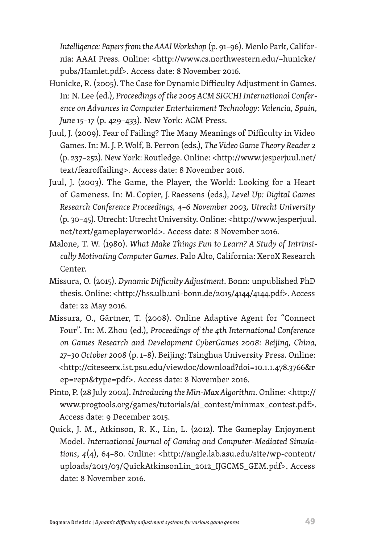*Intelligence: Papers from the AAAI Workshop* (p. 91–96). Menlo Park, California: AAAI Press. Online: <http://www.cs.northwestern.edu/~hunicke/ pubs/Hamlet.pdf>. Access date: 8 November 2016.

- Hunicke, R. (2005). The Case for Dynamic Difficulty Adjustment in Games. In: N. Lee (ed.), *Proceedings of the 2005 ACM SIGCHI International Conference on Advances in Computer Entertainment Technology: Valencia, Spain, June 15–17* (p. 429–433). New York: ACM Press.
- Juul, J. (2009). Fear of Failing? The Many Meanings of Difficulty in Video Games. In: M. J. P.Wolf, B. Perron (eds.), *The Video Game Theory Reader 2* (p. 237–252). New York: Routledge. Online: <http://www.jesperjuul.net/ text/fearoffailing>. Access date: 8 November 2016.
- Juul, J. (2003). The Game, the Player, the World: Looking for a Heart of Gameness. In: M. Copier, J. Raessens (eds.), *Level Up: Digital Games Research Conference Proceedings, 4–6 November 2003, Utrecht University* (p. 30–45). Utrecht: Utrecht University. Online: <http://www.jesperjuul. net/text/gameplayerworld>. Access date: 8 November 2016.
- Malone, T. W. (1980). *What Make Things Fun to Learn? A Study of Intrinsically Motivating Computer Games*. Palo Alto, California: XeroX Research Center.
- Missura, O. (2015). *Dynamic Difficulty Adjustment*. Bonn: unpublished PhD thesis. Online: [<http://hss.ulb.uni-bonn.de/2015/4144/4144.pdf>](http://hss.ulb.uni-bonn.de/2015/4144/4144.pdf). Access date: 22 May 2016.
- Missura, O., Gärtner, T. (2008). Online Adaptive Agent for "Connect Four". In: M. Zhou (ed.), *Proceedings of the 4th International Conference on Games Research and Development CyberGames 2008: Beijing, China, 27–30 October 2008* (p. 1–8). Beijing: Tsinghua University Press. Online: <http://citeseerx.ist.psu.edu/viewdoc/download?doi=10.1.1.478.3766&r ep=rep1&type=pdf>. Access date: 8 November 2016.
- Pinto, P. (28 July 2002). *Introducing the Min-Max Algorithm*. Online: [<http://](http://www.progtools.org/games/tutorials/ai_contest/minmax_contest.pdf) [www.progtools.org/games/tutorials/ai\\_contest/minmax\\_contest.pdf](http://www.progtools.org/games/tutorials/ai_contest/minmax_contest.pdf)>. Access date: 9 December 2015.
- Quick, J. M., Atkinson, R. K., Lin, L. (2012). The Gameplay Enjoyment Model. *International Journal of Gaming and Computer-Mediated Simulations*, *4*(4), 64–80. Online: <http://angle.lab.asu.edu/site/wp-content/ uploads/2013/03/QuickAtkinsonLin\_2012\_IJGCMS\_GEM.pdf>. Access date: 8 November 2016.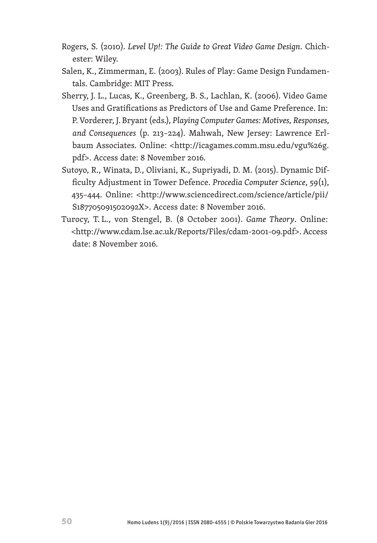- Rogers, S. (2010). *Level Up!: The Guide to Great Video Game Design*. Chichester: Wiley.
- Salen, K., Zimmerman, E. (2003). Rules of Play: Game Design Fundamentals. Cambridge: MIT Press.
- Sherry, J. L., Lucas, K., Greenberg, B. S., Lachlan, K. (2006). Video Game Uses and Gratifications as Predictors of Use and Game Preference. In: P.Vorderer, J. Bryant (eds.), *Playing Computer Games: Motives, Responses, and Consequences* (p. 213–224). Mahwah, New Jersey: Lawrence Erlbaum Associates. Online: <http://icagames.comm.msu.edu/vgu%26g. pdf>. Access date: 8 November 2016.
- Sutoyo, R., Winata, D., Oliviani, K., Supriyadi, D. M. (2015). Dynamic Difficulty Adjustment in Tower Defence. *Procedia Computer Science*, *59*(1), 435–444. Online: <http://www.sciencedirect.com/science/article/pii/ S187705091502092X>. Access date: 8 November 2016.
- Turocy, T. L., von Stengel, B. (8 October 2001). *Game Theory*. Online: <http://www.cdam.lse.ac.uk/Reports/Files/cdam-2001-09.pdf>. Access date: 8 November 2016.